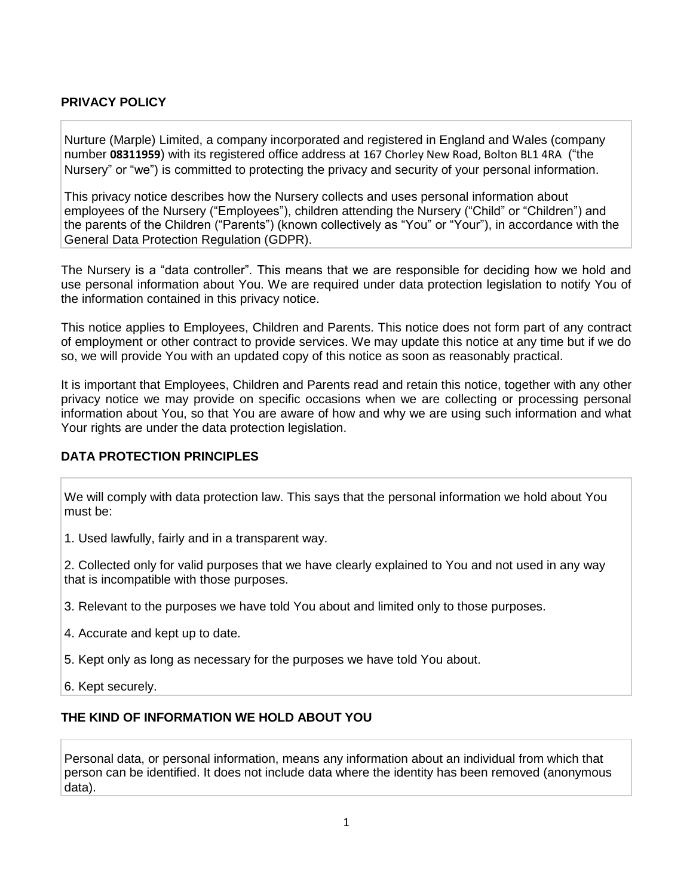# **PRIVACY POLICY**

Nurture (Marple) Limited, a company incorporated and registered in England and Wales (company number **08311959**) with its registered office address at 167 Chorley New Road, Bolton BL1 4RA ("the Nursery" or "we") is committed to protecting the privacy and security of your personal information.

This privacy notice describes how the Nursery collects and uses personal information about employees of the Nursery ("Employees"), children attending the Nursery ("Child" or "Children") and the parents of the Children ("Parents") (known collectively as "You" or "Your"), in accordance with the General Data Protection Regulation (GDPR).

The Nursery is a "data controller". This means that we are responsible for deciding how we hold and use personal information about You. We are required under data protection legislation to notify You of the information contained in this privacy notice.

This notice applies to Employees, Children and Parents. This notice does not form part of any contract of employment or other contract to provide services. We may update this notice at any time but if we do so, we will provide You with an updated copy of this notice as soon as reasonably practical.

It is important that Employees, Children and Parents read and retain this notice, together with any other privacy notice we may provide on specific occasions when we are collecting or processing personal information about You, so that You are aware of how and why we are using such information and what Your rights are under the data protection legislation.

### **DATA PROTECTION PRINCIPLES**

We will comply with data protection law. This says that the personal information we hold about You must be:

1. Used lawfully, fairly and in a transparent way.

2. Collected only for valid purposes that we have clearly explained to You and not used in any way that is incompatible with those purposes.

- 3. Relevant to the purposes we have told You about and limited only to those purposes.
- 4. Accurate and kept up to date.
- 5. Kept only as long as necessary for the purposes we have told You about.
- 6. Kept securely.

### **THE KIND OF INFORMATION WE HOLD ABOUT YOU**

Personal data, or personal information, means any information about an individual from which that person can be identified. It does not include data where the identity has been removed (anonymous data).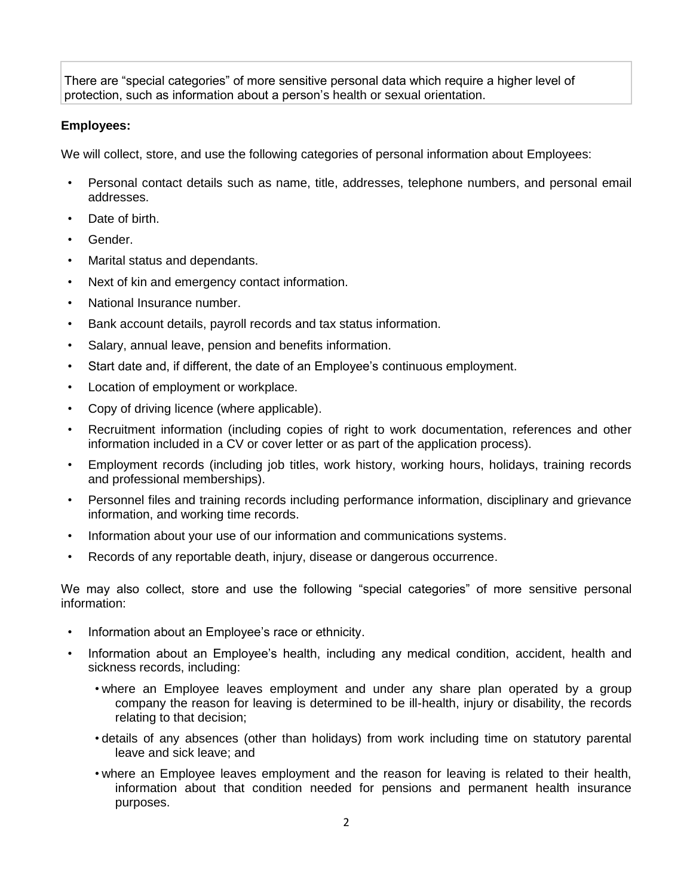There are "special categories" of more sensitive personal data which require a higher level of protection, such as information about a person's health or sexual orientation.

# **Employees:**

We will collect, store, and use the following categories of personal information about Employees:

- Personal contact details such as name, title, addresses, telephone numbers, and personal email addresses.
- Date of birth.
- Gender.
- Marital status and dependants.
- Next of kin and emergency contact information.
- National Insurance number.
- Bank account details, payroll records and tax status information.
- Salary, annual leave, pension and benefits information.
- Start date and, if different, the date of an Employee's continuous employment.
- Location of employment or workplace.
- Copy of driving licence (where applicable).
- Recruitment information (including copies of right to work documentation, references and other information included in a CV or cover letter or as part of the application process).
- Employment records (including job titles, work history, working hours, holidays, training records and professional memberships).
- Personnel files and training records including performance information, disciplinary and grievance information, and working time records.
- Information about your use of our information and communications systems.
- Records of any reportable death, injury, disease or dangerous occurrence.

We may also collect, store and use the following "special categories" of more sensitive personal information:

- Information about an Employee's race or ethnicity.
- Information about an Employee's health, including any medical condition, accident, health and sickness records, including:
	- where an Employee leaves employment and under any share plan operated by a group company the reason for leaving is determined to be ill-health, injury or disability, the records relating to that decision;
	- details of any absences (other than holidays) from work including time on statutory parental leave and sick leave; and
	- where an Employee leaves employment and the reason for leaving is related to their health, information about that condition needed for pensions and permanent health insurance purposes.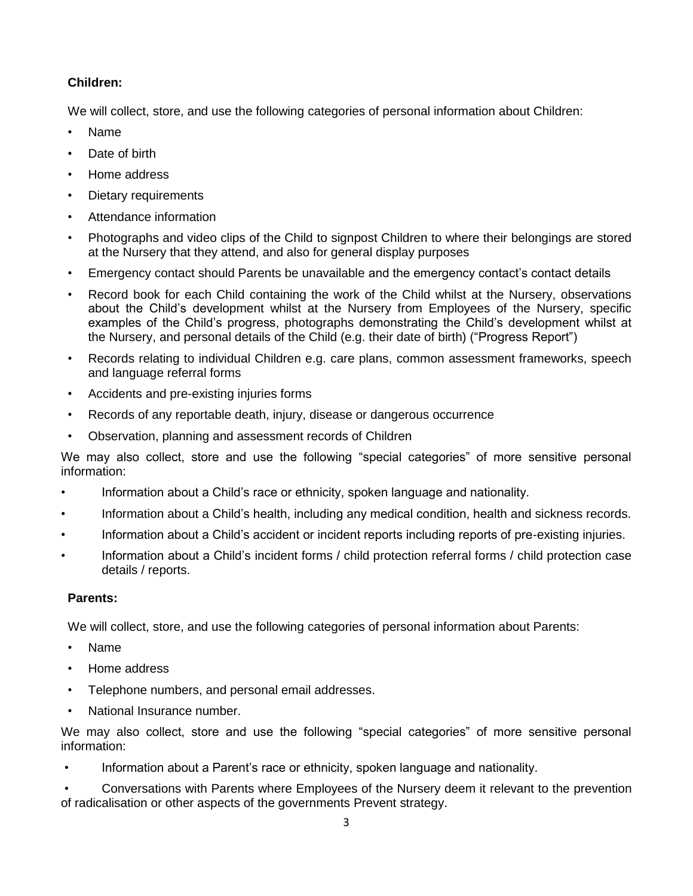# **Children:**

We will collect, store, and use the following categories of personal information about Children:

- Name
- Date of birth
- Home address
- Dietary requirements
- Attendance information
- Photographs and video clips of the Child to signpost Children to where their belongings are stored at the Nursery that they attend, and also for general display purposes
- Emergency contact should Parents be unavailable and the emergency contact's contact details
- Record book for each Child containing the work of the Child whilst at the Nursery, observations about the Child's development whilst at the Nursery from Employees of the Nursery, specific examples of the Child's progress, photographs demonstrating the Child's development whilst at the Nursery, and personal details of the Child (e.g. their date of birth) ("Progress Report")
- Records relating to individual Children e.g. care plans, common assessment frameworks, speech and language referral forms
- Accidents and pre-existing injuries forms
- Records of any reportable death, injury, disease or dangerous occurrence
- Observation, planning and assessment records of Children

We may also collect, store and use the following "special categories" of more sensitive personal information:

- Information about a Child's race or ethnicity, spoken language and nationality.
- Information about a Child's health, including any medical condition, health and sickness records.
- Information about a Child's accident or incident reports including reports of pre-existing injuries.
- Information about a Child's incident forms / child protection referral forms / child protection case details / reports.

# **Parents:**

We will collect, store, and use the following categories of personal information about Parents:

- Name
- Home address
- Telephone numbers, and personal email addresses.
- National Insurance number.

We may also collect, store and use the following "special categories" of more sensitive personal information:

• Information about a Parent's race or ethnicity, spoken language and nationality.

• Conversations with Parents where Employees of the Nursery deem it relevant to the prevention of radicalisation or other aspects of the governments Prevent strategy.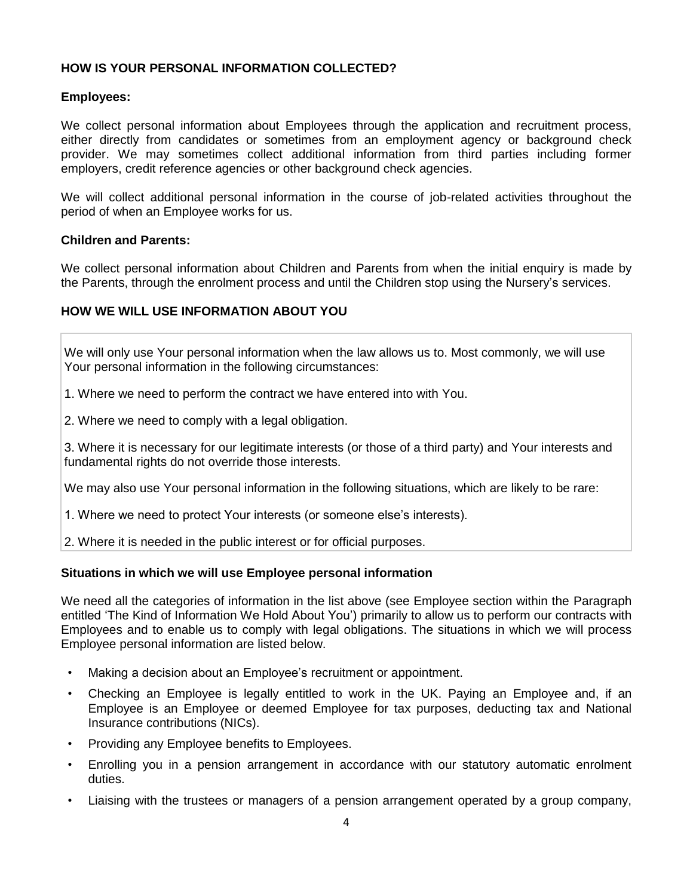### **HOW IS YOUR PERSONAL INFORMATION COLLECTED?**

### **Employees:**

We collect personal information about Employees through the application and recruitment process, either directly from candidates or sometimes from an employment agency or background check provider. We may sometimes collect additional information from third parties including former employers, credit reference agencies or other background check agencies.

We will collect additional personal information in the course of job-related activities throughout the period of when an Employee works for us.

#### **Children and Parents:**

We collect personal information about Children and Parents from when the initial enquiry is made by the Parents, through the enrolment process and until the Children stop using the Nursery's services.

### **HOW WE WILL USE INFORMATION ABOUT YOU**

We will only use Your personal information when the law allows us to. Most commonly, we will use Your personal information in the following circumstances:

- 1. Where we need to perform the contract we have entered into with You.
- 2. Where we need to comply with a legal obligation.

3. Where it is necessary for our legitimate interests (or those of a third party) and Your interests and fundamental rights do not override those interests.

We may also use Your personal information in the following situations, which are likely to be rare:

- 1. Where we need to protect Your interests (or someone else's interests).
- 2. Where it is needed in the public interest or for official purposes.

### **Situations in which we will use Employee personal information**

We need all the categories of information in the list above (see Employee section within the Paragraph entitled 'The Kind of Information We Hold About You') primarily to allow us to perform our contracts with Employees and to enable us to comply with legal obligations. The situations in which we will process Employee personal information are listed below.

- Making a decision about an Employee's recruitment or appointment.
- Checking an Employee is legally entitled to work in the UK. Paying an Employee and, if an Employee is an Employee or deemed Employee for tax purposes, deducting tax and National Insurance contributions (NICs).
- Providing any Employee benefits to Employees.
- Enrolling you in a pension arrangement in accordance with our statutory automatic enrolment duties.
- Liaising with the trustees or managers of a pension arrangement operated by a group company,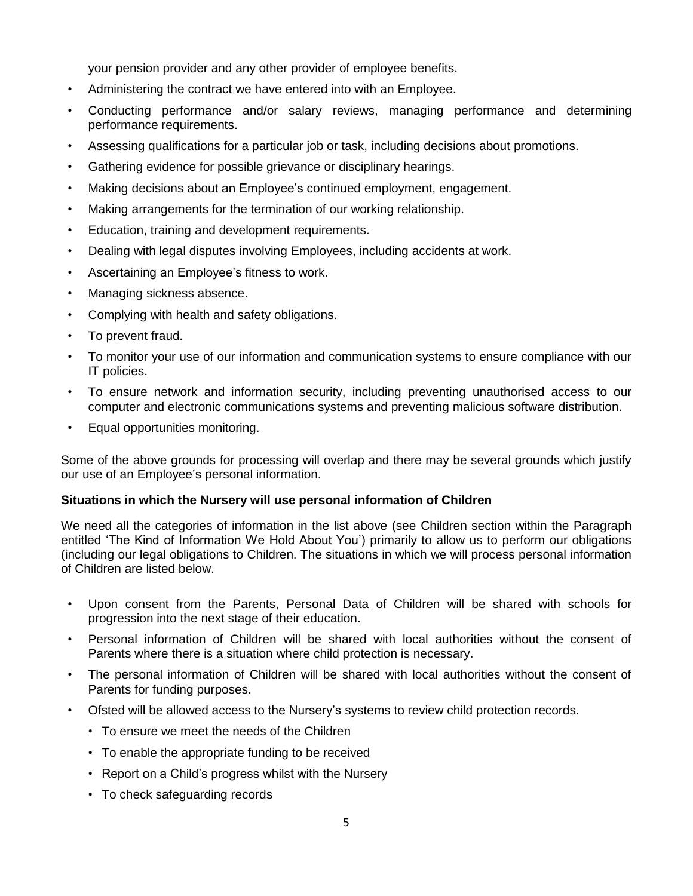your pension provider and any other provider of employee benefits.

- Administering the contract we have entered into with an Employee.
- Conducting performance and/or salary reviews, managing performance and determining performance requirements.
- Assessing qualifications for a particular job or task, including decisions about promotions.
- Gathering evidence for possible grievance or disciplinary hearings.
- Making decisions about an Employee's continued employment, engagement.
- Making arrangements for the termination of our working relationship.
- Education, training and development requirements.
- Dealing with legal disputes involving Employees, including accidents at work.
- Ascertaining an Employee's fitness to work.
- Managing sickness absence.
- Complying with health and safety obligations.
- To prevent fraud.
- To monitor your use of our information and communication systems to ensure compliance with our IT policies.
- To ensure network and information security, including preventing unauthorised access to our computer and electronic communications systems and preventing malicious software distribution.
- Equal opportunities monitoring.

Some of the above grounds for processing will overlap and there may be several grounds which justify our use of an Employee's personal information.

#### **Situations in which the Nursery will use personal information of Children**

We need all the categories of information in the list above (see Children section within the Paragraph entitled 'The Kind of Information We Hold About You') primarily to allow us to perform our obligations (including our legal obligations to Children. The situations in which we will process personal information of Children are listed below.

- Upon consent from the Parents, Personal Data of Children will be shared with schools for progression into the next stage of their education.
- Personal information of Children will be shared with local authorities without the consent of Parents where there is a situation where child protection is necessary.
- The personal information of Children will be shared with local authorities without the consent of Parents for funding purposes.
- Ofsted will be allowed access to the Nursery's systems to review child protection records.
	- To ensure we meet the needs of the Children
	- To enable the appropriate funding to be received
	- Report on a Child's progress whilst with the Nursery
	- To check safeguarding records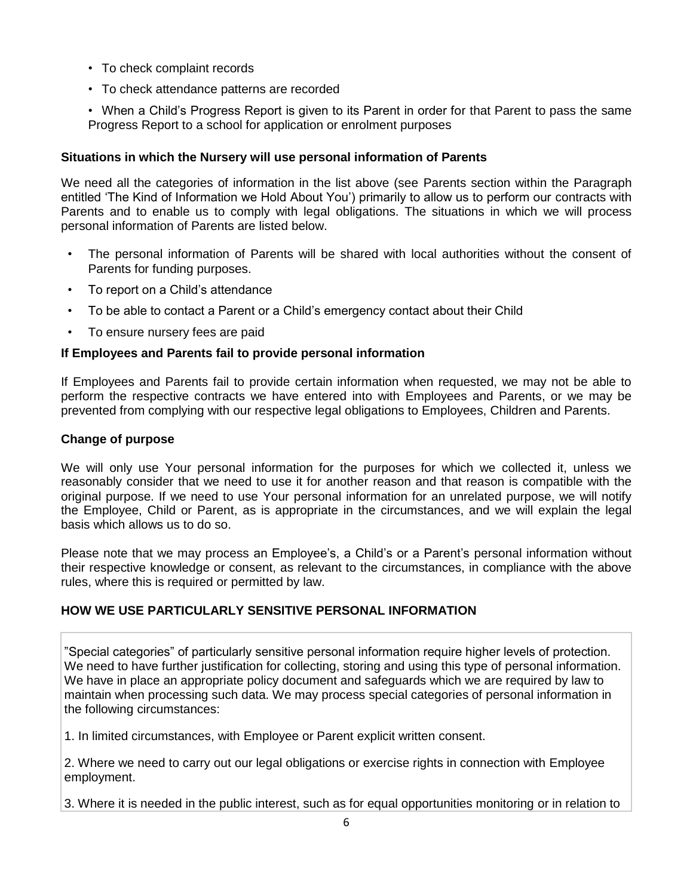- To check complaint records
- To check attendance patterns are recorded

• When a Child's Progress Report is given to its Parent in order for that Parent to pass the same Progress Report to a school for application or enrolment purposes

### **Situations in which the Nursery will use personal information of Parents**

We need all the categories of information in the list above (see Parents section within the Paragraph entitled 'The Kind of Information we Hold About You') primarily to allow us to perform our contracts with Parents and to enable us to comply with legal obligations. The situations in which we will process personal information of Parents are listed below.

- The personal information of Parents will be shared with local authorities without the consent of Parents for funding purposes.
- To report on a Child's attendance
- To be able to contact a Parent or a Child's emergency contact about their Child
- To ensure nursery fees are paid

# **If Employees and Parents fail to provide personal information**

If Employees and Parents fail to provide certain information when requested, we may not be able to perform the respective contracts we have entered into with Employees and Parents, or we may be prevented from complying with our respective legal obligations to Employees, Children and Parents.

### **Change of purpose**

We will only use Your personal information for the purposes for which we collected it, unless we reasonably consider that we need to use it for another reason and that reason is compatible with the original purpose. If we need to use Your personal information for an unrelated purpose, we will notify the Employee, Child or Parent, as is appropriate in the circumstances, and we will explain the legal basis which allows us to do so.

Please note that we may process an Employee's, a Child's or a Parent's personal information without their respective knowledge or consent, as relevant to the circumstances, in compliance with the above rules, where this is required or permitted by law.

# **HOW WE USE PARTICULARLY SENSITIVE PERSONAL INFORMATION**

"Special categories" of particularly sensitive personal information require higher levels of protection. We need to have further justification for collecting, storing and using this type of personal information. We have in place an appropriate policy document and safeguards which we are required by law to maintain when processing such data. We may process special categories of personal information in the following circumstances:

1. In limited circumstances, with Employee or Parent explicit written consent.

2. Where we need to carry out our legal obligations or exercise rights in connection with Employee employment.

3. Where it is needed in the public interest, such as for equal opportunities monitoring or in relation to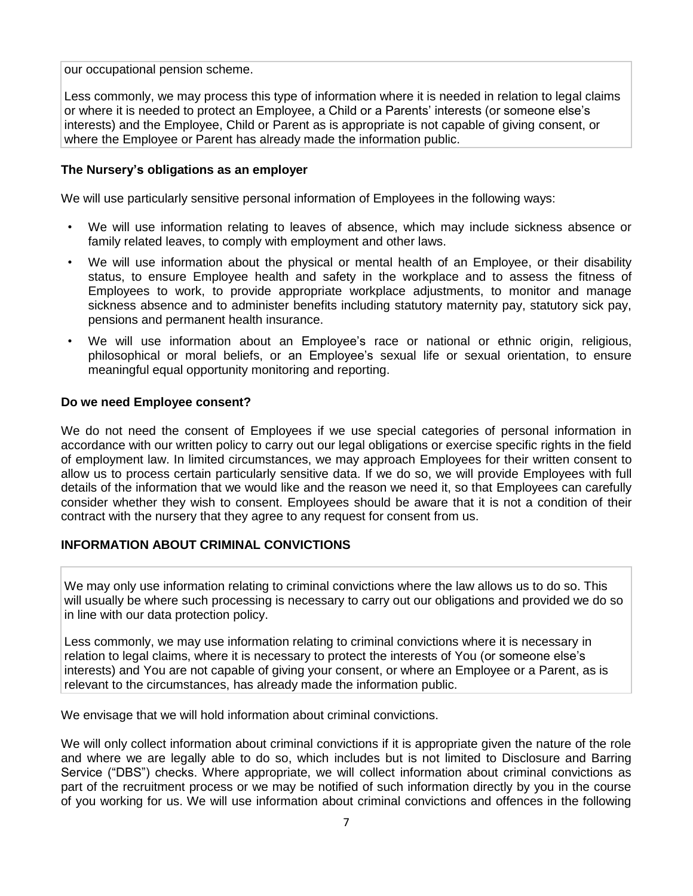our occupational pension scheme.

Less commonly, we may process this type of information where it is needed in relation to legal claims or where it is needed to protect an Employee, a Child or a Parents' interests (or someone else's interests) and the Employee, Child or Parent as is appropriate is not capable of giving consent, or where the Employee or Parent has already made the information public.

### **The Nursery's obligations as an employer**

We will use particularly sensitive personal information of Employees in the following ways:

- We will use information relating to leaves of absence, which may include sickness absence or family related leaves, to comply with employment and other laws.
- We will use information about the physical or mental health of an Employee, or their disability status, to ensure Employee health and safety in the workplace and to assess the fitness of Employees to work, to provide appropriate workplace adjustments, to monitor and manage sickness absence and to administer benefits including statutory maternity pay, statutory sick pay, pensions and permanent health insurance.
- We will use information about an Employee's race or national or ethnic origin, religious, philosophical or moral beliefs, or an Employee's sexual life or sexual orientation, to ensure meaningful equal opportunity monitoring and reporting.

### **Do we need Employee consent?**

We do not need the consent of Employees if we use special categories of personal information in accordance with our written policy to carry out our legal obligations or exercise specific rights in the field of employment law. In limited circumstances, we may approach Employees for their written consent to allow us to process certain particularly sensitive data. If we do so, we will provide Employees with full details of the information that we would like and the reason we need it, so that Employees can carefully consider whether they wish to consent. Employees should be aware that it is not a condition of their contract with the nursery that they agree to any request for consent from us.

### **INFORMATION ABOUT CRIMINAL CONVICTIONS**

We may only use information relating to criminal convictions where the law allows us to do so. This will usually be where such processing is necessary to carry out our obligations and provided we do so in line with our data protection policy.

Less commonly, we may use information relating to criminal convictions where it is necessary in relation to legal claims, where it is necessary to protect the interests of You (or someone else's interests) and You are not capable of giving your consent, or where an Employee or a Parent, as is relevant to the circumstances, has already made the information public.

We envisage that we will hold information about criminal convictions.

We will only collect information about criminal convictions if it is appropriate given the nature of the role and where we are legally able to do so, which includes but is not limited to Disclosure and Barring Service ("DBS") checks. Where appropriate, we will collect information about criminal convictions as part of the recruitment process or we may be notified of such information directly by you in the course of you working for us. We will use information about criminal convictions and offences in the following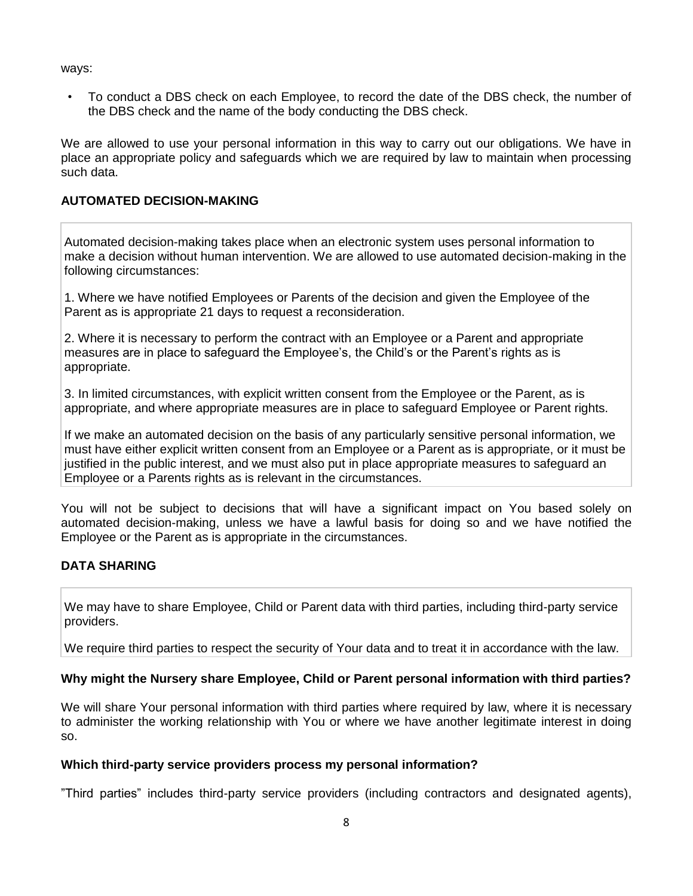ways:

• To conduct a DBS check on each Employee, to record the date of the DBS check, the number of the DBS check and the name of the body conducting the DBS check.

We are allowed to use your personal information in this way to carry out our obligations. We have in place an appropriate policy and safeguards which we are required by law to maintain when processing such data.

# **AUTOMATED DECISION-MAKING**

Automated decision-making takes place when an electronic system uses personal information to make a decision without human intervention. We are allowed to use automated decision-making in the following circumstances:

1. Where we have notified Employees or Parents of the decision and given the Employee of the Parent as is appropriate 21 days to request a reconsideration.

2. Where it is necessary to perform the contract with an Employee or a Parent and appropriate measures are in place to safeguard the Employee's, the Child's or the Parent's rights as is appropriate.

3. In limited circumstances, with explicit written consent from the Employee or the Parent, as is appropriate, and where appropriate measures are in place to safeguard Employee or Parent rights.

If we make an automated decision on the basis of any particularly sensitive personal information, we must have either explicit written consent from an Employee or a Parent as is appropriate, or it must be justified in the public interest, and we must also put in place appropriate measures to safeguard an Employee or a Parents rights as is relevant in the circumstances.

You will not be subject to decisions that will have a significant impact on You based solely on automated decision-making, unless we have a lawful basis for doing so and we have notified the Employee or the Parent as is appropriate in the circumstances.

# **DATA SHARING**

We may have to share Employee, Child or Parent data with third parties, including third-party service providers.

We require third parties to respect the security of Your data and to treat it in accordance with the law.

### **Why might the Nursery share Employee, Child or Parent personal information with third parties?**

We will share Your personal information with third parties where required by law, where it is necessary to administer the working relationship with You or where we have another legitimate interest in doing so.

#### **Which third-party service providers process my personal information?**

"Third parties" includes third-party service providers (including contractors and designated agents),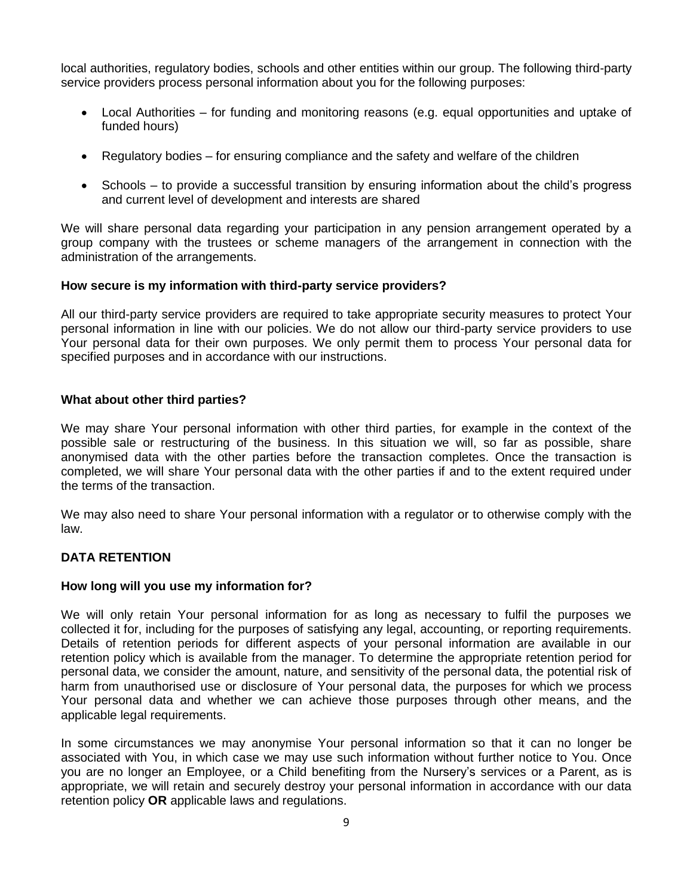local authorities, regulatory bodies, schools and other entities within our group. The following third-party service providers process personal information about you for the following purposes:

- Local Authorities for funding and monitoring reasons (e.g. equal opportunities and uptake of funded hours)
- Regulatory bodies for ensuring compliance and the safety and welfare of the children
- Schools to provide a successful transition by ensuring information about the child's progress and current level of development and interests are shared

We will share personal data regarding your participation in any pension arrangement operated by a group company with the trustees or scheme managers of the arrangement in connection with the administration of the arrangements.

#### **How secure is my information with third-party service providers?**

All our third-party service providers are required to take appropriate security measures to protect Your personal information in line with our policies. We do not allow our third-party service providers to use Your personal data for their own purposes. We only permit them to process Your personal data for specified purposes and in accordance with our instructions.

#### **What about other third parties?**

We may share Your personal information with other third parties, for example in the context of the possible sale or restructuring of the business. In this situation we will, so far as possible, share anonymised data with the other parties before the transaction completes. Once the transaction is completed, we will share Your personal data with the other parties if and to the extent required under the terms of the transaction.

We may also need to share Your personal information with a regulator or to otherwise comply with the law.

### **DATA RETENTION**

#### **How long will you use my information for?**

We will only retain Your personal information for as long as necessary to fulfil the purposes we collected it for, including for the purposes of satisfying any legal, accounting, or reporting requirements. Details of retention periods for different aspects of your personal information are available in our retention policy which is available from the manager. To determine the appropriate retention period for personal data, we consider the amount, nature, and sensitivity of the personal data, the potential risk of harm from unauthorised use or disclosure of Your personal data, the purposes for which we process Your personal data and whether we can achieve those purposes through other means, and the applicable legal requirements.

In some circumstances we may anonymise Your personal information so that it can no longer be associated with You, in which case we may use such information without further notice to You. Once you are no longer an Employee, or a Child benefiting from the Nursery's services or a Parent, as is appropriate, we will retain and securely destroy your personal information in accordance with our data retention policy **OR** applicable laws and regulations.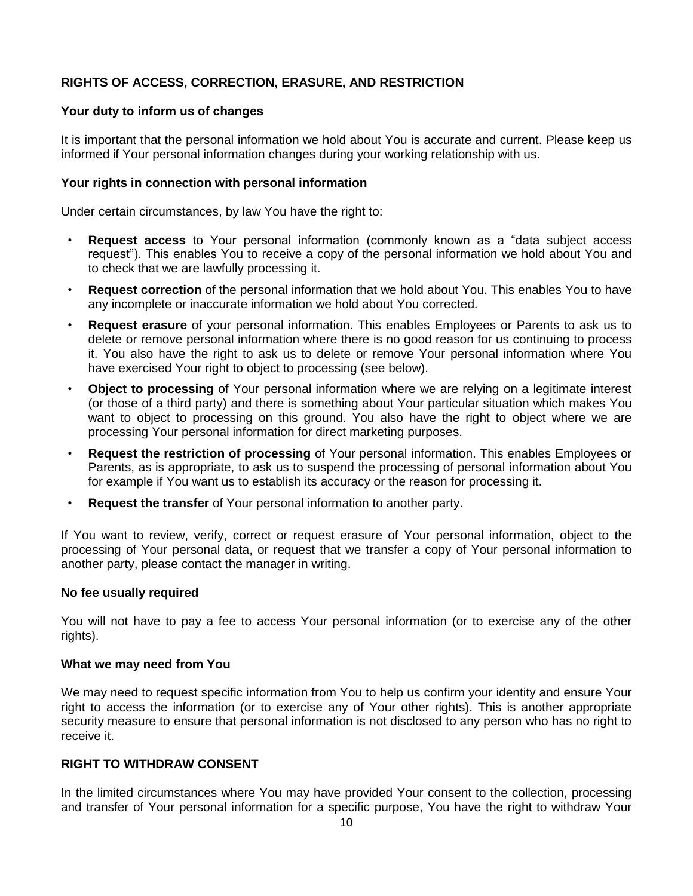# **RIGHTS OF ACCESS, CORRECTION, ERASURE, AND RESTRICTION**

#### **Your duty to inform us of changes**

It is important that the personal information we hold about You is accurate and current. Please keep us informed if Your personal information changes during your working relationship with us.

#### **Your rights in connection with personal information**

Under certain circumstances, by law You have the right to:

- **Request access** to Your personal information (commonly known as a "data subject access request"). This enables You to receive a copy of the personal information we hold about You and to check that we are lawfully processing it.
- **Request correction** of the personal information that we hold about You. This enables You to have any incomplete or inaccurate information we hold about You corrected.
- **Request erasure** of your personal information. This enables Employees or Parents to ask us to delete or remove personal information where there is no good reason for us continuing to process it. You also have the right to ask us to delete or remove Your personal information where You have exercised Your right to object to processing (see below).
- **Object to processing** of Your personal information where we are relying on a legitimate interest (or those of a third party) and there is something about Your particular situation which makes You want to object to processing on this ground. You also have the right to object where we are processing Your personal information for direct marketing purposes.
- **Request the restriction of processing** of Your personal information. This enables Employees or Parents, as is appropriate, to ask us to suspend the processing of personal information about You for example if You want us to establish its accuracy or the reason for processing it.
- **Request the transfer** of Your personal information to another party.

If You want to review, verify, correct or request erasure of Your personal information, object to the processing of Your personal data, or request that we transfer a copy of Your personal information to another party, please contact the manager in writing.

#### **No fee usually required**

You will not have to pay a fee to access Your personal information (or to exercise any of the other rights).

#### **What we may need from You**

We may need to request specific information from You to help us confirm your identity and ensure Your right to access the information (or to exercise any of Your other rights). This is another appropriate security measure to ensure that personal information is not disclosed to any person who has no right to receive it.

#### **RIGHT TO WITHDRAW CONSENT**

In the limited circumstances where You may have provided Your consent to the collection, processing and transfer of Your personal information for a specific purpose, You have the right to withdraw Your